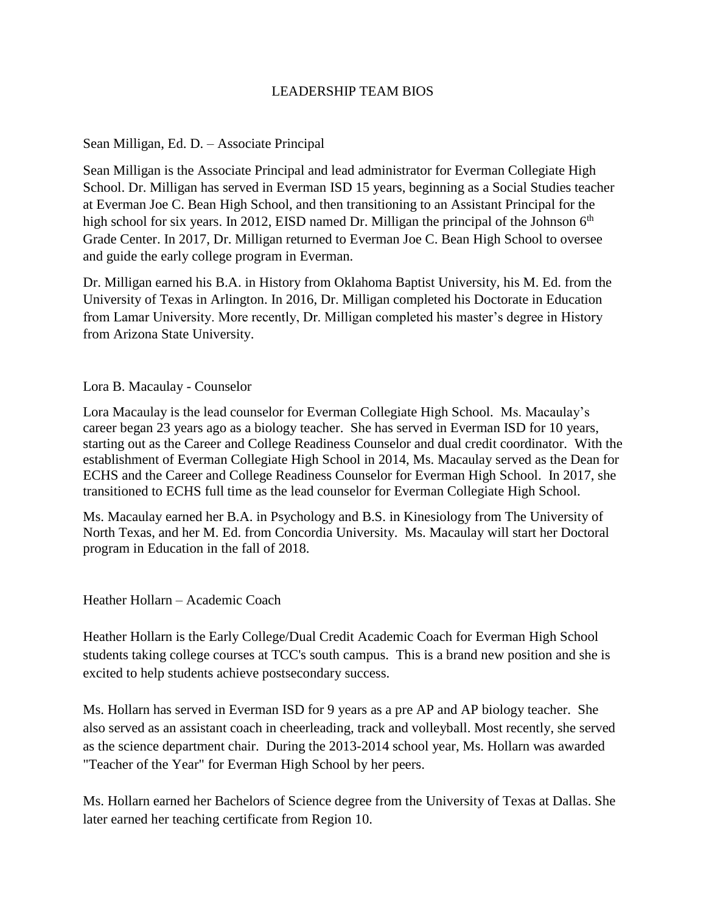## LEADERSHIP TEAM BIOS

## Sean Milligan, Ed. D. – Associate Principal

Sean Milligan is the Associate Principal and lead administrator for Everman Collegiate High School. Dr. Milligan has served in Everman ISD 15 years, beginning as a Social Studies teacher at Everman Joe C. Bean High School, and then transitioning to an Assistant Principal for the high school for six years. In 2012, EISD named Dr. Milligan the principal of the Johnson  $6<sup>th</sup>$ Grade Center. In 2017, Dr. Milligan returned to Everman Joe C. Bean High School to oversee and guide the early college program in Everman.

Dr. Milligan earned his B.A. in History from Oklahoma Baptist University, his M. Ed. from the University of Texas in Arlington. In 2016, Dr. Milligan completed his Doctorate in Education from Lamar University. More recently, Dr. Milligan completed his master's degree in History from Arizona State University.

## Lora B. Macaulay - Counselor

Lora Macaulay is the lead counselor for Everman Collegiate High School. Ms. Macaulay's career began 23 years ago as a biology teacher. She has served in Everman ISD for 10 years, starting out as the Career and College Readiness Counselor and dual credit coordinator. With the establishment of Everman Collegiate High School in 2014, Ms. Macaulay served as the Dean for ECHS and the Career and College Readiness Counselor for Everman High School. In 2017, she transitioned to ECHS full time as the lead counselor for Everman Collegiate High School.

Ms. Macaulay earned her B.A. in Psychology and B.S. in Kinesiology from The University of North Texas, and her M. Ed. from Concordia University. Ms. Macaulay will start her Doctoral program in Education in the fall of 2018.

Heather Hollarn – Academic Coach

Heather Hollarn is the Early College/Dual Credit Academic Coach for Everman High School students taking college courses at TCC's south campus. This is a brand new position and she is excited to help students achieve postsecondary success.

Ms. Hollarn has served in Everman ISD for 9 years as a pre AP and AP biology teacher. She also served as an assistant coach in cheerleading, track and volleyball. Most recently, she served as the science department chair. During the 2013-2014 school year, Ms. Hollarn was awarded "Teacher of the Year" for Everman High School by her peers.

Ms. Hollarn earned her Bachelors of Science degree from the University of Texas at Dallas. She later earned her teaching certificate from Region 10.